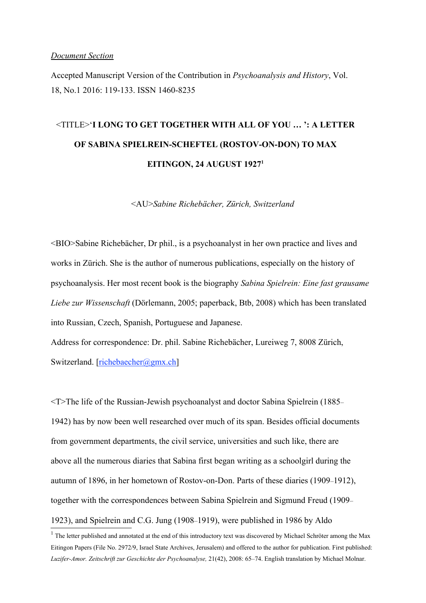#### *Document Section*

Accepted Manuscript Version of the Contribution in *Psychoanalysis and History*, Vol. 18, No.1 2016: 119-133. ISSN 1460-8235

# <TITLE>'**I LONG TO GET TOGETHER WITH ALL OF YOU … ': A LETTER OF SABINA SPIELREIN-SCHEFTEL (ROSTOV-ON-DON) TO MAX EITINGON, 24 AUGUST 19271**

<AU>*Sabine Richebächer, Zürich, Switzerland*

<BIO>Sabine Richebächer, Dr phil., is a psychoanalyst in her own practice and lives and works in Zürich. She is the author of numerous publications, especially on the history of psychoanalysis. Her most recent book is the biography *Sabina Spielrein: Eine fast grausame Liebe zur Wissenschaft* (Dörlemann, 2005; paperback, Btb, 2008) which has been translated into Russian, Czech, Spanish, Portuguese and Japanese.

Address for correspondence: Dr. phil. Sabine Richebächer, Lureiweg 7, 8008 Zürich, Switzerland. [richebaecher@gmx.ch]

<T>The life of the Russian-Jewish psychoanalyst and doctor Sabina Spielrein (1885– 1942) has by now been well researched over much of its span. Besides official documents from government departments, the civil service, universities and such like, there are above all the numerous diaries that Sabina first began writing as a schoolgirl during the autumn of 1896, in her hometown of Rostov-on-Don. Parts of these diaries (1909–1912), together with the correspondences between Sabina Spielrein and Sigmund Freud (1909– 1923), and Spielrein and C.G. Jung (1908–1919), were published in 1986 by Aldo

 $<sup>1</sup>$  The letter published and annotated at the end of this introductory text was discovered by Michael Schröter among the Max</sup> Eitingon Papers (File No. 2972/9, Israel State Archives, Jerusalem) and offered to the author for publication. First published: *Luzifer-Amor. Zeitschrift zur Geschichte der Psychoanalyse,* 21(42), 2008: 65–74. English translation by Michael Molnar.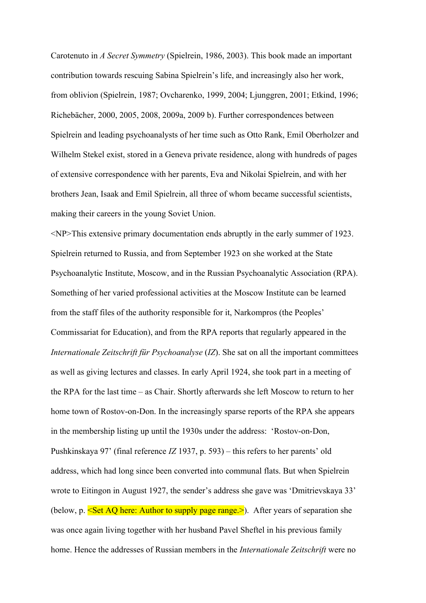Carotenuto in *A Secret Symmetry* (Spielrein, 1986, 2003). This book made an important contribution towards rescuing Sabina Spielrein's life, and increasingly also her work, from oblivion (Spielrein, 1987; Ovcharenko, 1999, 2004; Ljunggren, 2001; Etkind, 1996; Richebächer, 2000, 2005, 2008, 2009a, 2009 b). Further correspondences between Spielrein and leading psychoanalysts of her time such as Otto Rank, Emil Oberholzer and Wilhelm Stekel exist, stored in a Geneva private residence, along with hundreds of pages of extensive correspondence with her parents, Eva and Nikolai Spielrein, and with her brothers Jean, Isaak and Emil Spielrein, all three of whom became successful scientists, making their careers in the young Soviet Union.

<NP>This extensive primary documentation ends abruptly in the early summer of 1923. Spielrein returned to Russia, and from September 1923 on she worked at the State Psychoanalytic Institute, Moscow, and in the Russian Psychoanalytic Association (RPA). Something of her varied professional activities at the Moscow Institute can be learned from the staff files of the authority responsible for it, Narkompros (the Peoples' Commissariat for Education), and from the RPA reports that regularly appeared in the *Internationale Zeitschrift für Psychoanalyse* (*IZ*). She sat on all the important committees as well as giving lectures and classes. In early April 1924, she took part in a meeting of the RPA for the last time – as Chair. Shortly afterwards she left Moscow to return to her home town of Rostov-on-Don. In the increasingly sparse reports of the RPA she appears in the membership listing up until the 1930s under the address: 'Rostov-on-Don, Pushkinskaya 97' (final reference *IZ* 1937, p. 593) – this refers to her parents' old address, which had long since been converted into communal flats. But when Spielrein wrote to Eitingon in August 1927, the sender's address she gave was 'Dmitrievskaya 33' (below, p.  $\leq$ Set AQ here: Author to supply page range. >). After years of separation she was once again living together with her husband Pavel Sheftel in his previous family home. Hence the addresses of Russian members in the *Internationale Zeitschrift* were no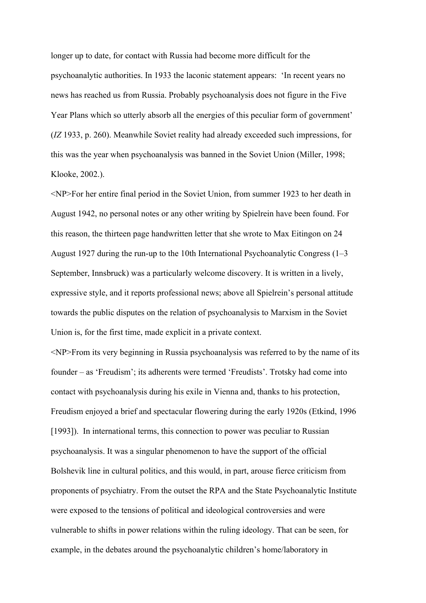longer up to date, for contact with Russia had become more difficult for the psychoanalytic authorities. In 1933 the laconic statement appears: 'In recent years no news has reached us from Russia. Probably psychoanalysis does not figure in the Five Year Plans which so utterly absorb all the energies of this peculiar form of government' (*IZ* 1933, p. 260). Meanwhile Soviet reality had already exceeded such impressions, for this was the year when psychoanalysis was banned in the Soviet Union (Miller, 1998; Klooke, 2002.).

<NP>For her entire final period in the Soviet Union, from summer 1923 to her death in August 1942, no personal notes or any other writing by Spielrein have been found. For this reason, the thirteen page handwritten letter that she wrote to Max Eitingon on 24 August 1927 during the run-up to the 10th International Psychoanalytic Congress (1–3 September, Innsbruck) was a particularly welcome discovery. It is written in a lively, expressive style, and it reports professional news; above all Spielrein's personal attitude towards the public disputes on the relation of psychoanalysis to Marxism in the Soviet Union is, for the first time, made explicit in a private context.

<NP>From its very beginning in Russia psychoanalysis was referred to by the name of its founder – as 'Freudism'; its adherents were termed 'Freudists'. Trotsky had come into contact with psychoanalysis during his exile in Vienna and, thanks to his protection, Freudism enjoyed a brief and spectacular flowering during the early 1920s (Etkind, 1996 [1993]). In international terms, this connection to power was peculiar to Russian psychoanalysis. It was a singular phenomenon to have the support of the official Bolshevik line in cultural politics, and this would, in part, arouse fierce criticism from proponents of psychiatry. From the outset the RPA and the State Psychoanalytic Institute were exposed to the tensions of political and ideological controversies and were vulnerable to shifts in power relations within the ruling ideology. That can be seen, for example, in the debates around the psychoanalytic children's home/laboratory in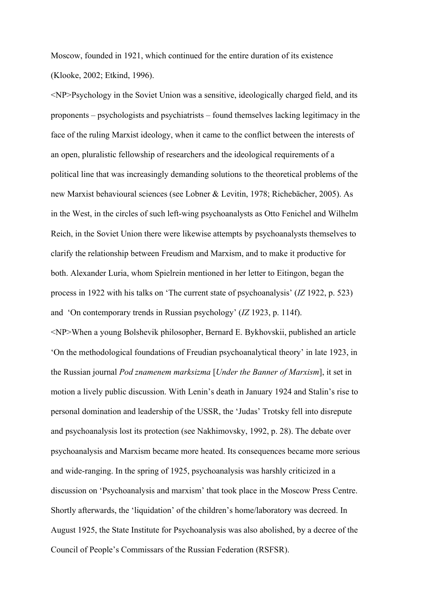Moscow, founded in 1921, which continued for the entire duration of its existence (Klooke, 2002; Etkind, 1996).

<NP>Psychology in the Soviet Union was a sensitive, ideologically charged field, and its proponents – psychologists and psychiatrists – found themselves lacking legitimacy in the face of the ruling Marxist ideology, when it came to the conflict between the interests of an open, pluralistic fellowship of researchers and the ideological requirements of a political line that was increasingly demanding solutions to the theoretical problems of the new Marxist behavioural sciences (see Lobner & Levitin, 1978; Richebächer, 2005). As in the West, in the circles of such left-wing psychoanalysts as Otto Fenichel and Wilhelm Reich, in the Soviet Union there were likewise attempts by psychoanalysts themselves to clarify the relationship between Freudism and Marxism, and to make it productive for both. Alexander Luria, whom Spielrein mentioned in her letter to Eitingon, began the process in 1922 with his talks on 'The current state of psychoanalysis' (*IZ* 1922, p. 523) and 'On contemporary trends in Russian psychology' (*IZ* 1923, p. 114f). <NP>When a young Bolshevik philosopher, Bernard E. Bykhovskii, published an article 'On the methodological foundations of Freudian psychoanalytical theory' in late 1923, in the Russian journal *Pod znamenem marksizma* [*Under the Banner of Marxism*], it set in motion a lively public discussion. With Lenin's death in January 1924 and Stalin's rise to personal domination and leadership of the USSR, the 'Judas' Trotsky fell into disrepute and psychoanalysis lost its protection (see Nakhimovsky, 1992, p. 28). The debate over psychoanalysis and Marxism became more heated. Its consequences became more serious and wide-ranging. In the spring of 1925, psychoanalysis was harshly criticized in a discussion on 'Psychoanalysis and marxism' that took place in the Moscow Press Centre. Shortly afterwards, the 'liquidation' of the children's home/laboratory was decreed. In August 1925, the State Institute for Psychoanalysis was also abolished, by a decree of the Council of People's Commissars of the Russian Federation (RSFSR).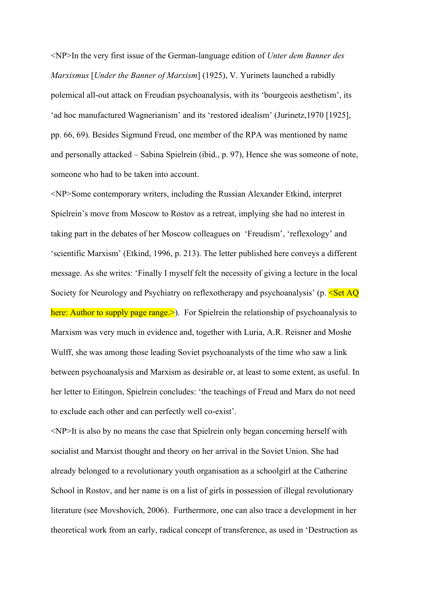<NP>In the very first issue of the German-language edition of *Unter dem Banner des Marxismus* [*Under the Banner of Marxism*] (1925), V. Yurinets launched a rabidly polemical all-out attack on Freudian psychoanalysis, with its 'bourgeois aesthetism', its 'ad hoc manufactured Wagnerianism' and its 'restored idealism' (Jurinetz,1970 [1925], pp. 66, 69). Besides Sigmund Freud, one member of the RPA was mentioned by name and personally attacked – Sabina Spielrein (ibid., p. 97), Hence she was someone of note, someone who had to be taken into account.

<NP>Some contemporary writers, including the Russian Alexander Etkind, interpret Spielrein's move from Moscow to Rostov as a retreat, implying she had no interest in taking part in the debates of her Moscow colleagues on 'Freudism', 'reflexology' and 'scientific Marxism' (Etkind, 1996, p. 213). The letter published here conveys a different message. As she writes: 'Finally I myself felt the necessity of giving a lecture in the local Society for Neurology and Psychiatry on reflexotherapy and psychoanalysis' (p. <Set AQ here: Author to supply page range. >. For Spielrein the relationship of psychoanalysis to Marxism was very much in evidence and, together with Luria, A.R. Reisner and Moshe Wulff, she was among those leading Soviet psychoanalysts of the time who saw a link between psychoanalysis and Marxism as desirable or, at least to some extent, as useful. In her letter to Eitingon, Spielrein concludes: 'the teachings of Freud and Marx do not need to exclude each other and can perfectly well co-exist'.

<NP>It is also by no means the case that Spielrein only began concerning herself with socialist and Marxist thought and theory on her arrival in the Soviet Union. She had already belonged to a revolutionary youth organisation as a schoolgirl at the Catherine School in Rostov, and her name is on a list of girls in possession of illegal revolutionary literature (see Movshovich, 2006). Furthermore, one can also trace a development in her theoretical work from an early, radical concept of transference, as used in 'Destruction as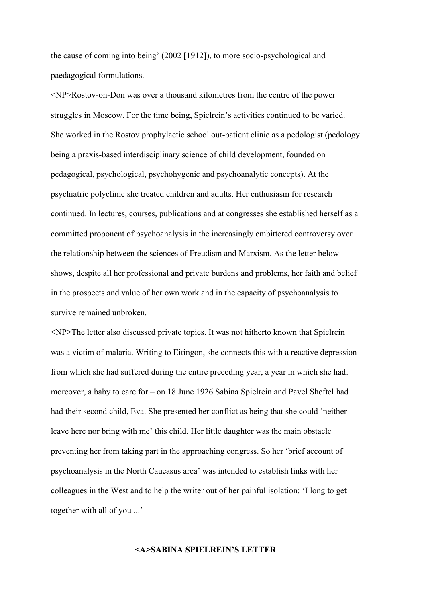the cause of coming into being' (2002 [1912]), to more socio-psychological and paedagogical formulations.

<NP>Rostov-on-Don was over a thousand kilometres from the centre of the power struggles in Moscow. For the time being, Spielrein's activities continued to be varied. She worked in the Rostov prophylactic school out-patient clinic as a pedologist (pedology being a praxis-based interdisciplinary science of child development, founded on pedagogical, psychological, psychohygenic and psychoanalytic concepts). At the psychiatric polyclinic she treated children and adults. Her enthusiasm for research continued. In lectures, courses, publications and at congresses she established herself as a committed proponent of psychoanalysis in the increasingly embittered controversy over the relationship between the sciences of Freudism and Marxism. As the letter below shows, despite all her professional and private burdens and problems, her faith and belief in the prospects and value of her own work and in the capacity of psychoanalysis to survive remained unbroken.

<NP>The letter also discussed private topics. It was not hitherto known that Spielrein was a victim of malaria. Writing to Eitingon, she connects this with a reactive depression from which she had suffered during the entire preceding year, a year in which she had, moreover, a baby to care for – on 18 June 1926 Sabina Spielrein and Pavel Sheftel had had their second child, Eva. She presented her conflict as being that she could 'neither leave here nor bring with me' this child. Her little daughter was the main obstacle preventing her from taking part in the approaching congress. So her 'brief account of psychoanalysis in the North Caucasus area' was intended to establish links with her colleagues in the West and to help the writer out of her painful isolation: 'I long to get together with all of you ...'

### **<A>SABINA SPIELREIN'S LETTER**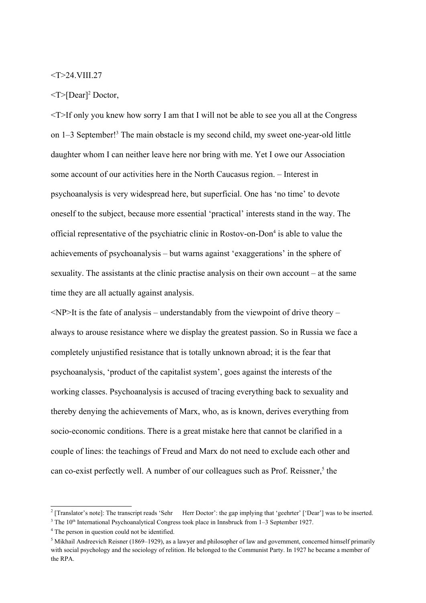## <T>24.VIII.27

#### $\langle$ T>[Dear]<sup>2</sup> Doctor,

<T>If only you knew how sorry I am that I will not be able to see you all at the Congress on 1–3 September!<sup>3</sup> The main obstacle is my second child, my sweet one-year-old little daughter whom I can neither leave here nor bring with me. Yet I owe our Association some account of our activities here in the North Caucasus region. – Interest in psychoanalysis is very widespread here, but superficial. One has 'no time' to devote oneself to the subject, because more essential 'practical' interests stand in the way. The official representative of the psychiatric clinic in Rostov-on-Don<sup>4</sup> is able to value the achievements of psychoanalysis – but warns against 'exaggerations' in the sphere of sexuality. The assistants at the clinic practise analysis on their own account – at the same time they are all actually against analysis.

 $\langle NP \rangle$ It is the fate of analysis – understandably from the viewpoint of drive theory – always to arouse resistance where we display the greatest passion. So in Russia we face a completely unjustified resistance that is totally unknown abroad; it is the fear that psychoanalysis, 'product of the capitalist system', goes against the interests of the working classes. Psychoanalysis is accused of tracing everything back to sexuality and thereby denying the achievements of Marx, who, as is known, derives everything from socio-economic conditions. There is a great mistake here that cannot be clarified in a couple of lines: the teachings of Freud and Marx do not need to exclude each other and can co-exist perfectly well. A number of our colleagues such as Prof. Reissner,<sup>5</sup> the

<sup>&</sup>lt;sup>2</sup> [Translator's note]: The transcript reads 'Sehr Herr Doctor': the gap implying that 'geehrter' ['Dear'] was to be inserted.

 $3$  The 10<sup>th</sup> International Psychoanalytical Congress took place in Innsbruck from 1–3 September 1927.

<sup>&</sup>lt;sup>4</sup> The person in question could not be identified.

<sup>&</sup>lt;sup>5</sup> Mikhail Andreevich Reisner (1869–1929), as a lawyer and philosopher of law and government, concerned himself primarily with social psychology and the sociology of relition. He belonged to the Communist Party. In 1927 he became a member of the RPA.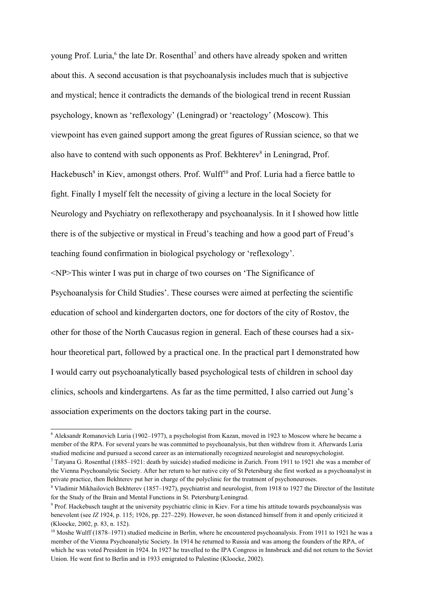young Prof. Luria,<sup>6</sup> the late Dr. Rosenthal<sup>7</sup> and others have already spoken and written about this. A second accusation is that psychoanalysis includes much that is subjective and mystical; hence it contradicts the demands of the biological trend in recent Russian psychology, known as 'reflexology' (Leningrad) or 'reactology' (Moscow). This viewpoint has even gained support among the great figures of Russian science, so that we also have to contend with such opponents as Prof. Bekhterev<sup>8</sup> in Leningrad, Prof. Hackebusch<sup>9</sup> in Kiev, amongst others. Prof. Wulff<sup>10</sup> and Prof. Luria had a fierce battle to fight. Finally I myself felt the necessity of giving a lecture in the local Society for Neurology and Psychiatry on reflexotherapy and psychoanalysis. In it I showed how little there is of the subjective or mystical in Freud's teaching and how a good part of Freud's teaching found confirmation in biological psychology or 'reflexology'.

<NP>This winter I was put in charge of two courses on 'The Significance of Psychoanalysis for Child Studies'. These courses were aimed at perfecting the scientific education of school and kindergarten doctors, one for doctors of the city of Rostov, the other for those of the North Caucasus region in general. Each of these courses had a sixhour theoretical part, followed by a practical one. In the practical part I demonstrated how I would carry out psychoanalytically based psychological tests of children in school day clinics, schools and kindergartens. As far as the time permitted, I also carried out Jung's association experiments on the doctors taking part in the course.

<sup>6</sup> Aleksandr Romanovich Luria (1902–1977), a psychologist from Kazan, moved in 1923 to Moscow where he became a member of the RPA. For several years he was committed to psychoanalysis, but then withdrew from it. Afterwards Luria studied medicine and pursued a second career as an internationally recognized neurologist and neuropsychologist.

 $^7$  Tatyana G. Rosenthal (1885–1921: death by suicide) studied medicine in Zurich. From 1911 to 1921 she was a member of the Vienna Psychoanalytic Society. After her return to her native city of St Petersburg she first worked as a psychoanalyst in private practice, then Bekhterev put her in charge of the polyclinic for the treatment of psychoneuroses.

<sup>&</sup>lt;sup>8</sup> Vladimir Mikhailovich Bekhterev (1857–1927), psychiatrist and neurologist, from 1918 to 1927 the Director of the Institute for the Study of the Brain and Mental Functions in St. Petersburg/Leningrad.

<sup>&</sup>lt;sup>9</sup> Prof. Hackebusch taught at the university psychiatric clinic in Kiev. For a time his attitude towards psychoanalysis was benevolent (see *IZ* 1924, p. 115; 1926, pp. 227–229). However, he soon distanced himself from it and openly criticized it (Kloocke, 2002, p. 83, n. 152).

 $10$  Moshe Wulff (1878–1971) studied medicine in Berlin, where he encountered psychoanalysis. From 1911 to 1921 he was a member of the Vienna Psychoanalytic Society. In 1914 he returned to Russia and was among the founders of the RPA, of which he was voted President in 1924. In 1927 he travelled to the IPA Congress in Innsbruck and did not return to the Soviet Union. He went first to Berlin and in 1933 emigrated to Palestine (Kloocke, 2002).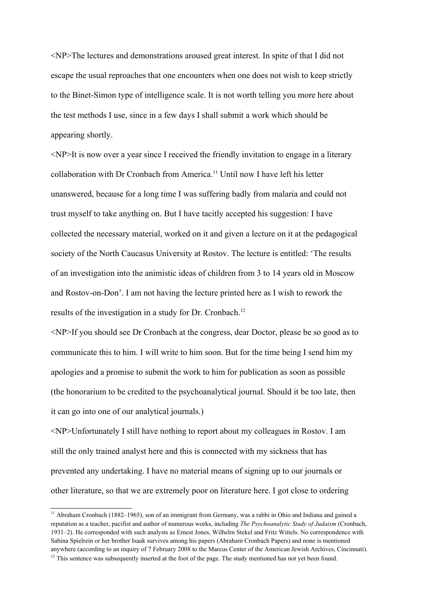<NP>The lectures and demonstrations aroused great interest. In spite of that I did not escape the usual reproaches that one encounters when one does not wish to keep strictly to the Binet-Simon type of intelligence scale. It is not worth telling you more here about the test methods I use, since in a few days I shall submit a work which should be appearing shortly.

 $\langle NP \rangle$ It is now over a year since I received the friendly invitation to engage in a literary collaboration with Dr Cronbach from America.11 Until now I have left his letter unanswered, because for a long time I was suffering badly from malaria and could not trust myself to take anything on. But I have tacitly accepted his suggestion: I have collected the necessary material, worked on it and given a lecture on it at the pedagogical society of the North Caucasus University at Rostov. The lecture is entitled: 'The results of an investigation into the animistic ideas of children from 3 to 14 years old in Moscow and Rostov-on-Don'. I am not having the lecture printed here as I wish to rework the results of the investigation in a study for Dr. Cronbach.<sup>12</sup>

<NP>If you should see Dr Cronbach at the congress, dear Doctor, please be so good as to communicate this to him. I will write to him soon. But for the time being I send him my apologies and a promise to submit the work to him for publication as soon as possible (the honorarium to be credited to the psychoanalytical journal. Should it be too late, then it can go into one of our analytical journals.)

<NP>Unfortunately I still have nothing to report about my colleagues in Rostov. I am still the only trained analyst here and this is connected with my sickness that has prevented any undertaking. I have no material means of signing up to our journals or other literature, so that we are extremely poor on literature here. I got close to ordering

<sup>&</sup>lt;sup>11</sup> Abraham Cronbach (1882–1965), son of an immigrant from Germany, was a rabbi in Ohio and Indiana and gained a reputation as a teacher, pacifist and author of numerous works, including *The Psychoanalytic Study of Judaism* (Cronbach, 1931–2). He corresponded with such analysts as Ernest Jones, Wilhelm Stekel and Fritz Wittels. No correspondence with Sabina Spielrein or her brother Isaak survives among his papers (Abraham Cronbach Papers) and none is mentioned anywhere (according to an inquiry of 7 February 2008 to the Marcus Center of the American Jewish Archives, Cincinnati).

 $12$  This sentence was subsequently inserted at the foot of the page. The study mentioned has not yet been found.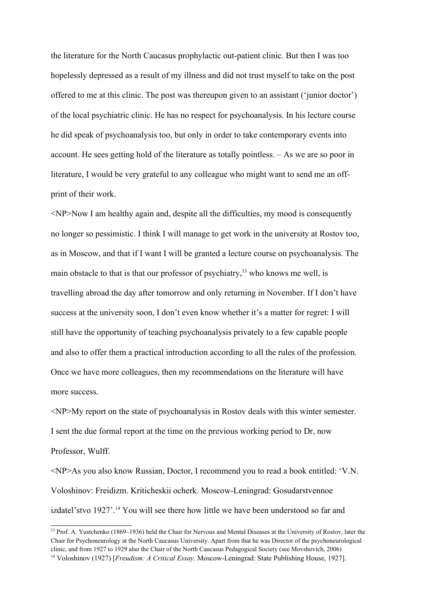the literature for the North Caucasus prophylactic out-patient clinic. But then I was too hopelessly depressed as a result of my illness and did not trust myself to take on the post offered to me at this clinic. The post was thereupon given to an assistant ('junior doctor') of the local psychiatric clinic. He has no respect for psychoanalysis. In his lecture course he did speak of psychoanalysis too, but only in order to take contemporary events into account. He sees getting hold of the literature as totally pointless. – As we are so poor in literature, I would be very grateful to any colleague who might want to send me an offprint of their work.

<NP>Now I am healthy again and, despite all the difficulties, my mood is consequently no longer so pessimistic. I think I will manage to get work in the university at Rostov too, as in Moscow, and that if I want I will be granted a lecture course on psychoanalysis. The main obstacle to that is that our professor of psychiatry, $13$  who knows me well, is travelling abroad the day after tomorrow and only returning in November. If I don't have success at the university soon, I don't even know whether it's a matter for regret: I will still have the opportunity of teaching psychoanalysis privately to a few capable people and also to offer them a practical introduction according to all the rules of the profession. Once we have more colleagues, then my recommendations on the literature will have more success.

<NP>My report on the state of psychoanalysis in Rostov deals with this winter semester. I sent the due formal report at the time on the previous working period to Dr, now Professor, Wulff.

<NP>As you also know Russian, Doctor, I recommend you to read a book entitled: 'V.N. Voloshinov: Freidizm. Kriticheskii ocherk. Moscow-Leningrad: Gosudarstvennoe izdatel'stvo 1927'.<sup>14</sup> You will see there how little we have been understood so far and

<sup>&</sup>lt;sup>13</sup> Prof. A. Yustchenko (1869–1936) held the Chair for Nervous and Mental Diseases at the University of Rostov, later the Chair for Psychoneurology at the North Caucasus University. Apart from that he was Director of the psychoneurological clinic, and from 1927 to 1929 also the Chair of the North Caucasus Pedagogical Society (see Movshovich, 2006) 14 Voloshinov (1927) [*Freudism: A Critical Essay*. Moscow-Leningrad: State Publishing House, 1927].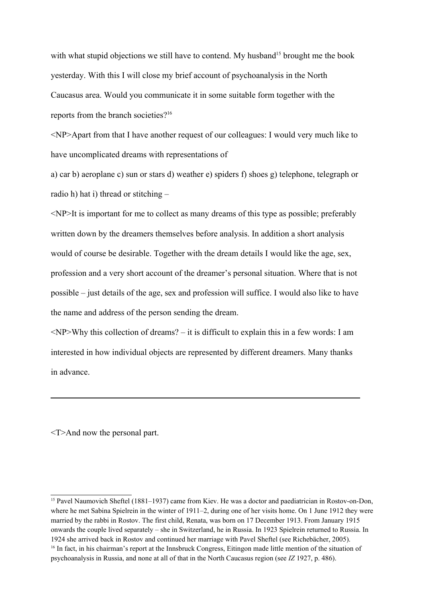with what stupid objections we still have to contend. My husband<sup>15</sup> brought me the book yesterday. With this I will close my brief account of psychoanalysis in the North Caucasus area. Would you communicate it in some suitable form together with the reports from the branch societies?<sup>16</sup>

<NP>Apart from that I have another request of our colleagues: I would very much like to have uncomplicated dreams with representations of

a) car b) aeroplane c) sun or stars d) weather e) spiders f) shoes g) telephone, telegraph or radio h) hat i) thread or stitching –

<NP>It is important for me to collect as many dreams of this type as possible; preferably written down by the dreamers themselves before analysis. In addition a short analysis would of course be desirable. Together with the dream details I would like the age, sex, profession and a very short account of the dreamer's personal situation. Where that is not possible – just details of the age, sex and profession will suffice. I would also like to have the name and address of the person sending the dream.

<NP>Why this collection of dreams? – it is difficult to explain this in a few words: I am interested in how individual objects are represented by different dreamers. Many thanks in advance.

<T>And now the personal part.

<sup>&</sup>lt;sup>15</sup> Pavel Naumovich Sheftel (1881–1937) came from Kiev. He was a doctor and paediatrician in Rostov-on-Don, where he met Sabina Spielrein in the winter of 1911–2, during one of her visits home. On 1 June 1912 they were married by the rabbi in Rostov. The first child, Renata, was born on 17 December 1913. From January 1915 onwards the couple lived separately – she in Switzerland, he in Russia. In 1923 Spielrein returned to Russia. In 1924 she arrived back in Rostov and continued her marriage with Pavel Sheftel (see Richebächer, 2005). <sup>16</sup> In fact, in his chairman's report at the Innsbruck Congress, Eitingon made little mention of the situation of psychoanalysis in Russia, and none at all of that in the North Caucasus region (see *IZ* 1927, p. 486).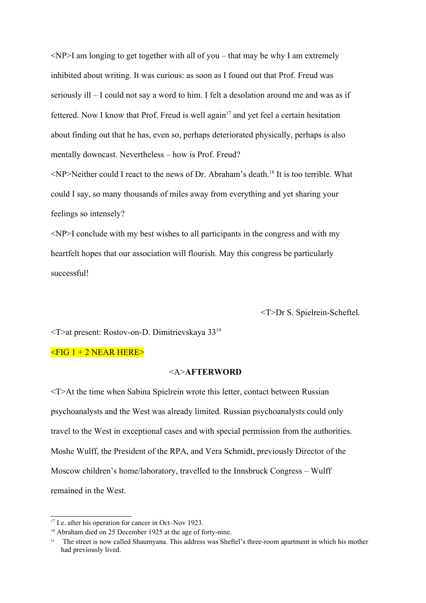$\leq$ NP $>$ I am longing to get together with all of you – that may be why I am extremely inhibited about writing. It was curious: as soon as I found out that Prof. Freud was seriously ill – I could not say a word to him. I felt a desolation around me and was as if fettered. Now I know that Prof. Freud is well again<sup>17</sup> and yet feel a certain hesitation about finding out that he has, even so, perhaps deteriorated physically, perhaps is also mentally downcast. Nevertheless – how is Prof. Freud?

 $\langle NP \rangle$ Neither could I react to the news of Dr. Abraham's death.<sup>18</sup> It is too terrible. What could I say, so many thousands of miles away from everything and yet sharing your feelings so intensely?

 $\leq$ NP $>$ I conclude with my best wishes to all participants in the congress and with my heartfelt hopes that our association will flourish. May this congress be particularly successful!

<T>Dr S. Spielrein-Scheftel.

<T>at present: Rostov-on-D. Dimitrievskaya 3319

#### $\leq$ FIG 1 + 2 NEAR HERE>

# <A>**AFTERWORD**

<T>At the time when Sabina Spielrein wrote this letter, contact between Russian psychoanalysts and the West was already limited. Russian psychoanalysts could only travel to the West in exceptional cases and with special permission from the authorities. Moshe Wulff, the President of the RPA, and Vera Schmidt, previously Director of the Moscow children's home/laboratory, travelled to the Innsbruck Congress – Wulff remained in the West.

<sup>&</sup>lt;sup>17</sup> I.e. after his operation for cancer in Oct–Nov 1923.

<sup>&</sup>lt;sup>18</sup> Abraham died on 25 December 1925 at the age of forty-nine.

<sup>19</sup> The street is now called Shaumyana. This address was Sheftel's three-room apartment in which his mother had previously lived.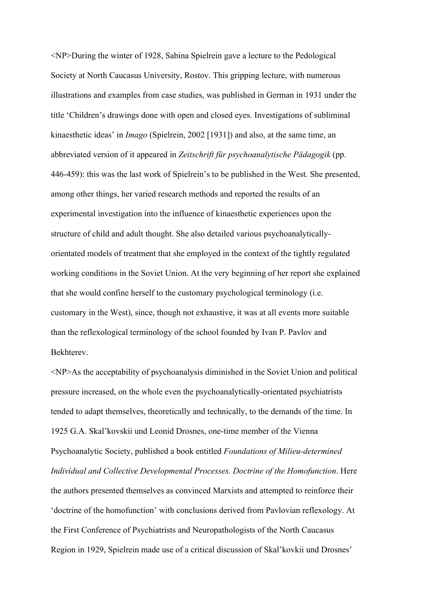<NP>During the winter of 1928, Sabina Spielrein gave a lecture to the Pedological Society at North Caucasus University, Rostov. This gripping lecture, with numerous illustrations and examples from case studies, was published in German in 1931 under the title 'Children's drawings done with open and closed eyes. Investigations of subliminal kinaesthetic ideas' in *Imago* (Spielrein, 2002 [1931]) and also, at the same time, an abbreviated version of it appeared in *Zeitschrift für psychoanalytische Pädagogik* (pp. 446-459): this was the last work of Spielrein's to be published in the West. She presented, among other things, her varied research methods and reported the results of an experimental investigation into the influence of kinaesthetic experiences upon the structure of child and adult thought. She also detailed various psychoanalyticallyorientated models of treatment that she employed in the context of the tightly regulated working conditions in the Soviet Union. At the very beginning of her report she explained that she would confine herself to the customary psychological terminology (i.e. customary in the West), since, though not exhaustive, it was at all events more suitable than the reflexological terminology of the school founded by Ivan P. Pavlov and Bekhterev.

<NP>As the acceptability of psychoanalysis diminished in the Soviet Union and political pressure increased, on the whole even the psychoanalytically-orientated psychiatrists tended to adapt themselves, theoretically and technically, to the demands of the time. In 1925 G.A. Skal'kovskii und Leonid Drosnes, one-time member of the Vienna Psychoanalytic Society, published a book entitled *Foundations of Milieu-determined Individual and Collective Developmental Processes. Doctrine of the Homofunction*. Here the authors presented themselves as convinced Marxists and attempted to reinforce their 'doctrine of the homofunction' with conclusions derived from Pavlovian reflexology. At the First Conference of Psychiatrists and Neuropathologists of the North Caucasus Region in 1929, Spielrein made use of a critical discussion of Skal'kovkii und Drosnes'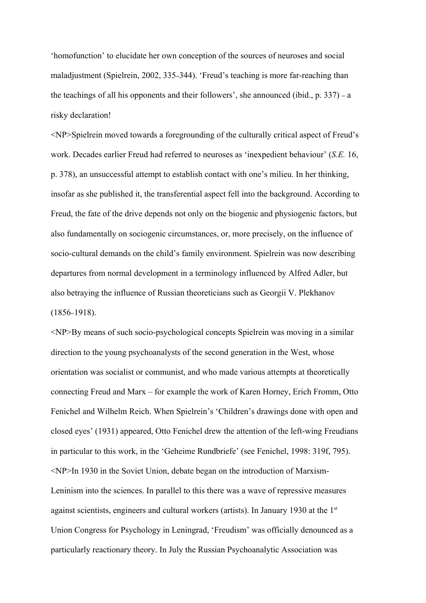'homofunction' to elucidate her own conception of the sources of neuroses and social maladjustment (Spielrein, 2002, 335–344). 'Freud's teaching is more far-reaching than the teachings of all his opponents and their followers', she announced (ibid., p. 337) – a risky declaration!

<NP>Spielrein moved towards a foregrounding of the culturally critical aspect of Freud's work. Decades earlier Freud had referred to neuroses as 'inexpedient behaviour' (*S.E.* 16, p. 378), an unsuccessful attempt to establish contact with one's milieu. In her thinking, insofar as she published it, the transferential aspect fell into the background. According to Freud, the fate of the drive depends not only on the biogenic and physiogenic factors, but also fundamentally on sociogenic circumstances, or, more precisely, on the influence of socio-cultural demands on the child's family environment. Spielrein was now describing departures from normal development in a terminology influenced by Alfred Adler, but also betraying the influence of Russian theoreticians such as Georgii V. Plekhanov (1856–1918).

<NP>By means of such socio-psychological concepts Spielrein was moving in a similar direction to the young psychoanalysts of the second generation in the West, whose orientation was socialist or communist, and who made various attempts at theoretically connecting Freud and Marx – for example the work of Karen Horney, Erich Fromm, Otto Fenichel and Wilhelm Reich. When Spielrein's 'Children's drawings done with open and closed eyes' (1931) appeared, Otto Fenichel drew the attention of the left-wing Freudians in particular to this work, in the 'Geheime Rundbriefe' (see Fenichel, 1998: 319f, 795). <NP>In 1930 in the Soviet Union, debate began on the introduction of Marxism-Leninism into the sciences. In parallel to this there was a wave of repressive measures against scientists, engineers and cultural workers (artists). In January 1930 at the  $1<sup>st</sup>$ Union Congress for Psychology in Leningrad, 'Freudism' was officially denounced as a particularly reactionary theory. In July the Russian Psychoanalytic Association was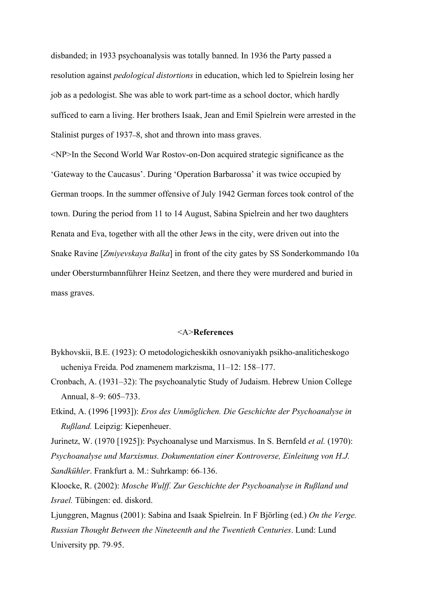disbanded; in 1933 psychoanalysis was totally banned. In 1936 the Party passed a resolution against *pedological distortions* in education, which led to Spielrein losing her job as a pedologist. She was able to work part-time as a school doctor, which hardly sufficed to earn a living. Her brothers Isaak, Jean and Emil Spielrein were arrested in the Stalinist purges of 1937–8, shot and thrown into mass graves.

<NP>In the Second World War Rostov-on-Don acquired strategic significance as the 'Gateway to the Caucasus'. During 'Operation Barbarossa' it was twice occupied by German troops. In the summer offensive of July 1942 German forces took control of the town. During the period from 11 to 14 August, Sabina Spielrein and her two daughters Renata and Eva, together with all the other Jews in the city, were driven out into the Snake Ravine [*Zmiyevskaya Balka*] in front of the city gates by SS Sonderkommando 10a under Obersturmbannführer Heinz Seetzen, and there they were murdered and buried in mass graves.

#### <A>**References**

- Bykhovskii, B.E. (1923): O metodologicheskikh osnovaniyakh psikho-analiticheskogo ucheniya Freida. Pod znamenem markzisma, 11–12: 158–177.
- Cronbach, A. (1931–32): The psychoanalytic Study of Judaism. Hebrew Union College Annual, 8–9: 605–733.
- Etkind, A. (1996 [1993]): *Eros des Unmöglichen. Die Geschichte der Psychoanalyse in Rußland.* Leipzig: Kiepenheuer.

Jurinetz, W. (1970 [1925]): Psychoanalyse und Marxismus. In S. Bernfeld *et al.* (1970): *Psychoanalyse und Marxismus. Dokumentation einer Kontroverse, Einleitung von H.J. Sandkühler*. Frankfurt a. M.: Suhrkamp: 66–136.

Kloocke, R. (2002): *Mosche Wulff. Zur Geschichte der Psychoanalyse in Rußland und Israel.* Tübingen: ed. diskord.

Ljunggren, Magnus (2001): Sabina and Isaak Spielrein. In F Björling (ed.) *On the Verge. Russian Thought Between the Nineteenth and the Twentieth Centuries*. Lund: Lund University pp. 79–95.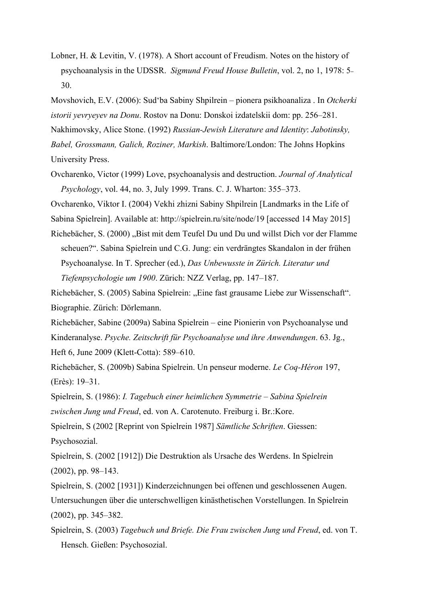Lobner, H. & Levitin, V. (1978). A Short account of Freudism. Notes on the history of psychoanalysis in the UDSSR. *Sigmund Freud House Bulletin*, vol. 2, no 1, 1978: 5– 30.

Movshovich, E.V. (2006): Sud'ba Sabiny Shpilrein – pionera psikhoanaliza . In *Otcherki istorii yevryeyev na Donu*. Rostov na Donu: Donskoi izdatelskii dom: pp. 256–281. Nakhimovsky, Alice Stone. (1992) *Russian-Jewish Literature and Identity*: *Jabotinsky, Babel, Grossmann, Galich, Roziner, Markish*. Baltimore/London: The Johns Hopkins University Press.

Ovcharenko, Victor (1999) Love, psychoanalysis and destruction. *Journal of Analytical Psychology*, vol. 44, no. 3, July 1999. Trans. C. J. Wharton: 355–373.

Ovcharenko, Viktor I. (2004) Vekhi zhizni Sabiny Shpilrein [Landmarks in the Life of

Sabina Spielrein]. Available at: http://spielrein.ru/site/node/19 [accessed 14 May 2015]

Richebächer, S. (2000) "Bist mit dem Teufel Du und Du und willst Dich vor der Flamme scheuen?". Sabina Spielrein und C.G. Jung: ein verdrängtes Skandalon in der frühen Psychoanalyse. In T. Sprecher (ed.), *Das Unbewusste in Zürich. Literatur und Tiefenpsychologie um 1900*. Zürich: NZZ Verlag, pp. 147–187.

Richebächer, S. (2005) Sabina Spielrein: "Eine fast grausame Liebe zur Wissenschaft". Biographie. Zürich: Dörlemann.

Richebächer, Sabine (2009a) Sabina Spielrein – eine Pionierin von Psychoanalyse und Kinderanalyse. *Psyche. Zeitschrift für Psychoanalyse und ihre Anwendungen*. 63. Jg., Heft 6, June 2009 (Klett-Cotta): 589–610.

Richebächer, S. (2009b) Sabina Spielrein. Un penseur moderne. *Le Coq-Héron* 197, (Erès): 19–31.

Spielrein, S. (1986): *I. Tagebuch einer heimlichen Symmetrie – Sabina Spielrein zwischen Jung und Freud*, ed. von A. Carotenuto. Freiburg i. Br.:Kore.

Spielrein, S (2002 [Reprint von Spielrein 1987] *Sämtliche Schriften*. Giessen: Psychosozial.

Spielrein, S. (2002 [1912]) Die Destruktion als Ursache des Werdens. In Spielrein (2002), pp. 98*–*143.

- Spielrein, S. (2002 [1931]) Kinderzeichnungen bei offenen und geschlossenen Augen. Untersuchungen über die unterschwelligen kinästhetischen Vorstellungen. In Spielrein (2002), pp. 345*–*382.
- Spielrein, S. (2003) *Tagebuch und Briefe. Die Frau zwischen Jung und Freud*, ed. von T. Hensch. Gießen: Psychosozial.